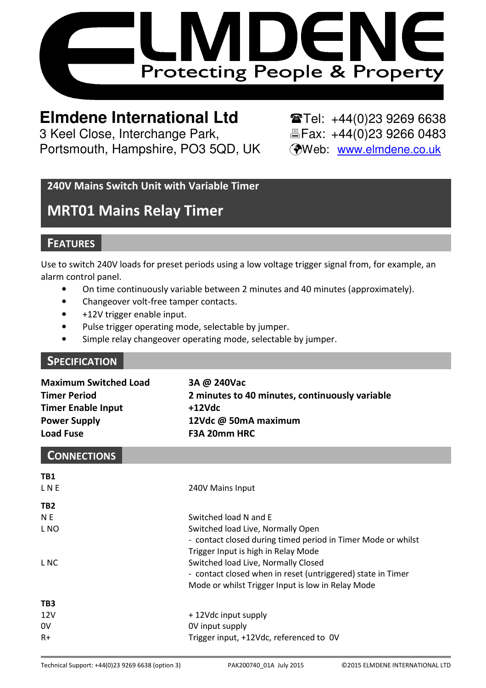

# **Elmdene International Ltd**  $\text{Tr}(-144(0)23\,9269\,6638)$

3 Keel Close, Interchange Park, Eleax: +44(0)23 9266 0483 Portsmouth, Hampshire, PO3 5QD, UK (Web: www.elmdene.co.uk)

### 240V Mains Switch Unit with Variable Timer

# MRT01 Mains Relay Timer

## **FEATURES**

Use to switch 240V loads for preset periods using a low voltage trigger signal from, for example, an alarm control panel.

- On time continuously variable between 2 minutes and 40 minutes (approximately).
- Changeover volt-free tamper contacts.
- +12V trigger enable input.
- Pulse trigger operating mode, selectable by jumper.
- Simple relay changeover operating mode, selectable by jumper.

#### **SPECIFICATION**

| <b>Maximum Switched Load</b> | 3A @ 240Vac                                    |
|------------------------------|------------------------------------------------|
| <b>Timer Period</b>          | 2 minutes to 40 minutes, continuously variable |
| <b>Timer Enable Input</b>    | +12Vdc                                         |
| <b>Power Supply</b>          | 12Vdc @ 50mA maximum                           |
| <b>Load Fuse</b>             | F3A 20mm HRC                                   |

#### **CONNECTIONS**

| TB1             |                                                              |
|-----------------|--------------------------------------------------------------|
| <b>LNE</b>      | 240V Mains Input                                             |
| TB <sub>2</sub> |                                                              |
| N E             | Switched load N and E                                        |
| L NO            | Switched load Live, Normally Open                            |
|                 | - contact closed during timed period in Timer Mode or whilst |
|                 | Trigger Input is high in Relay Mode                          |
| L NC            | Switched load Live, Normally Closed                          |
|                 | - contact closed when in reset (untriggered) state in Timer  |
|                 | Mode or whilst Trigger Input is low in Relay Mode            |
| TB3             |                                                              |
| 12V             | +12Vdc input supply                                          |
| 0V              | OV input supply                                              |
| $R+$            | Trigger input, +12Vdc, referenced to OV                      |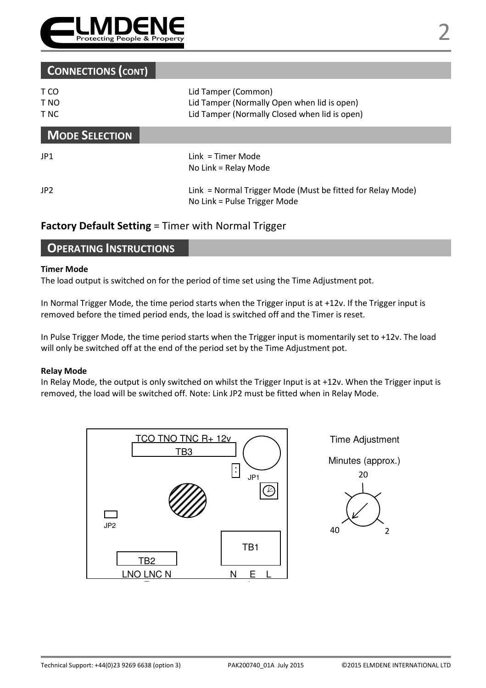

### CONNECTIONS (CONT)

| T CO<br>T NO<br>T NC  | Lid Tamper (Common)<br>Lid Tamper (Normally Open when lid is open)<br>Lid Tamper (Normally Closed when lid is open) |
|-----------------------|---------------------------------------------------------------------------------------------------------------------|
| <b>MODE SELECTION</b> |                                                                                                                     |
| JP1                   | $Link = Timer Mode$<br>No Link = Relay Mode                                                                         |
| JP <sub>2</sub>       | Link = Normal Trigger Mode (Must be fitted for Relay Mode)<br>No Link = Pulse Trigger Mode                          |

#### Factory Default Setting = Timer with Normal Trigger

#### OPERATING INSTRUCTIONS

#### Timer Mode

The load output is switched on for the period of time set using the Time Adjustment pot.

In Normal Trigger Mode, the time period starts when the Trigger input is at +12v. If the Trigger input is removed before the timed period ends, the load is switched off and the Timer is reset.

In Pulse Trigger Mode, the time period starts when the Trigger input is momentarily set to +12v. The load will only be switched off at the end of the period set by the Time Adjustment pot.

#### Relay Mode

In Relay Mode, the output is only switched on whilst the Trigger Input is at +12v. When the Trigger input is removed, the load will be switched off. Note: Link JP2 must be fitted when in Relay Mode.



Time Adjustment

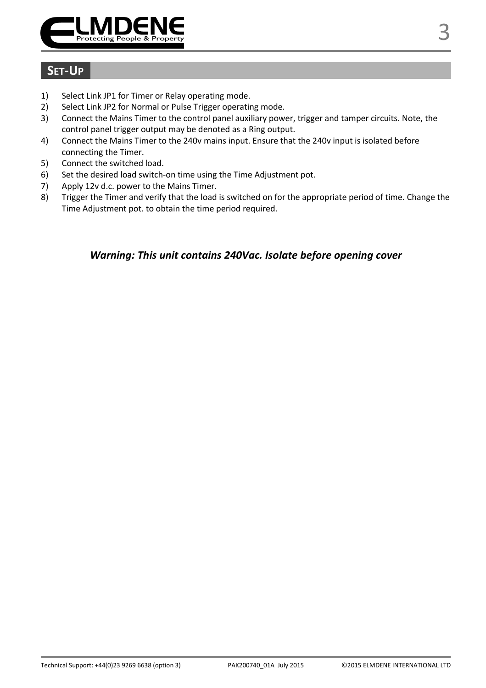

## SET-UP

- 1) Select Link JP1 for Timer or Relay operating mode.
- 2) Select Link JP2 for Normal or Pulse Trigger operating mode.
- 3) Connect the Mains Timer to the control panel auxiliary power, trigger and tamper circuits. Note, the control panel trigger output may be denoted as a Ring output.
- 4) Connect the Mains Timer to the 240v mains input. Ensure that the 240v input is isolated before connecting the Timer.
- 5) Connect the switched load.
- 6) Set the desired load switch-on time using the Time Adjustment pot.
- 7) Apply 12v d.c. power to the Mains Timer.
- 8) Trigger the Timer and verify that the load is switched on for the appropriate period of time. Change the Time Adjustment pot. to obtain the time period required.

#### Warning: This unit contains 240Vac. Isolate before opening cover